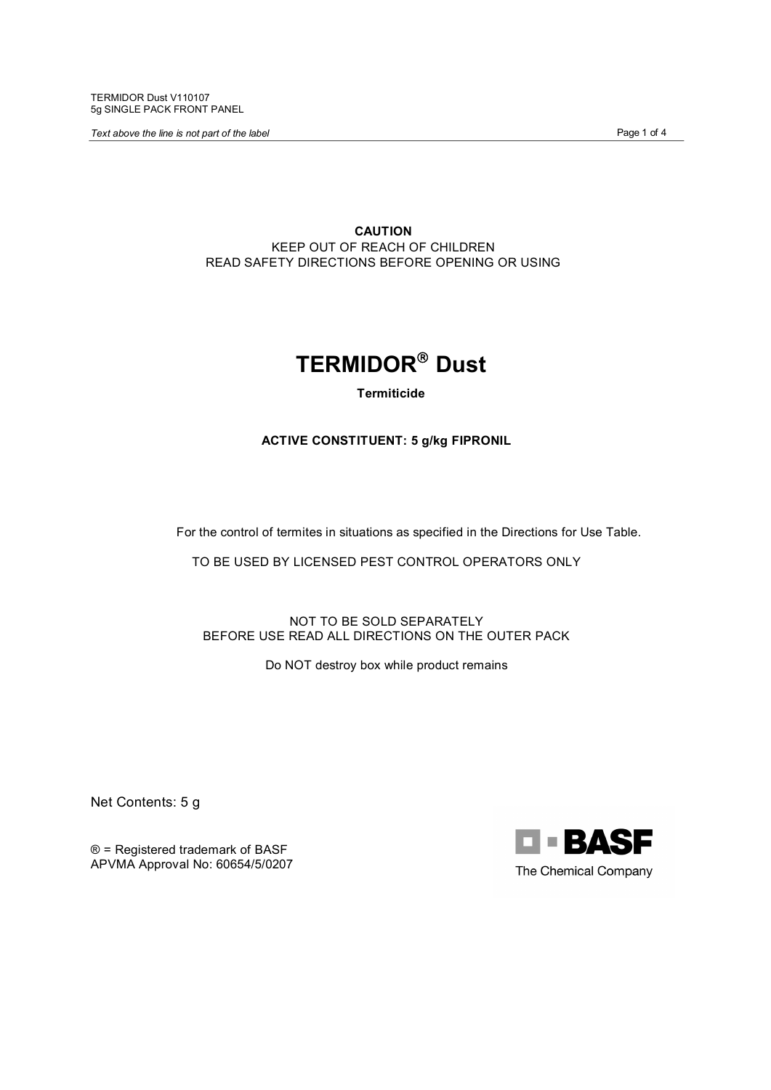TERMIDOR Dust V110107 5g SINGLE PACK FRONT PANEL

**Text above the line is not part of the label Page 1 of 4** and **Page 1 of 4** and **Page 1 of 4** 

**CAUTION** KEEP OUT OF REACH OF CHILDREN READ SAFETY DIRECTIONS BEFORE OPENING OR USING



**Termiticide** 

**ACTIVE CONSTITUENT: 5 g/kg FIPRONIL**

For the control of termites in situations as specified in the Directions for Use Table.

TO BE USED BY LICENSED PEST CONTROL OPERATORS ONLY

NOT TO BE SOLD SEPARATELY BEFORE USE READ ALL DIRECTIONS ON THE OUTER PACK

Do NOT destroy box while product remains

Net Contents: 5 g

® = Registered trademark of BASF APVMA Approval No: 60654/5/0207

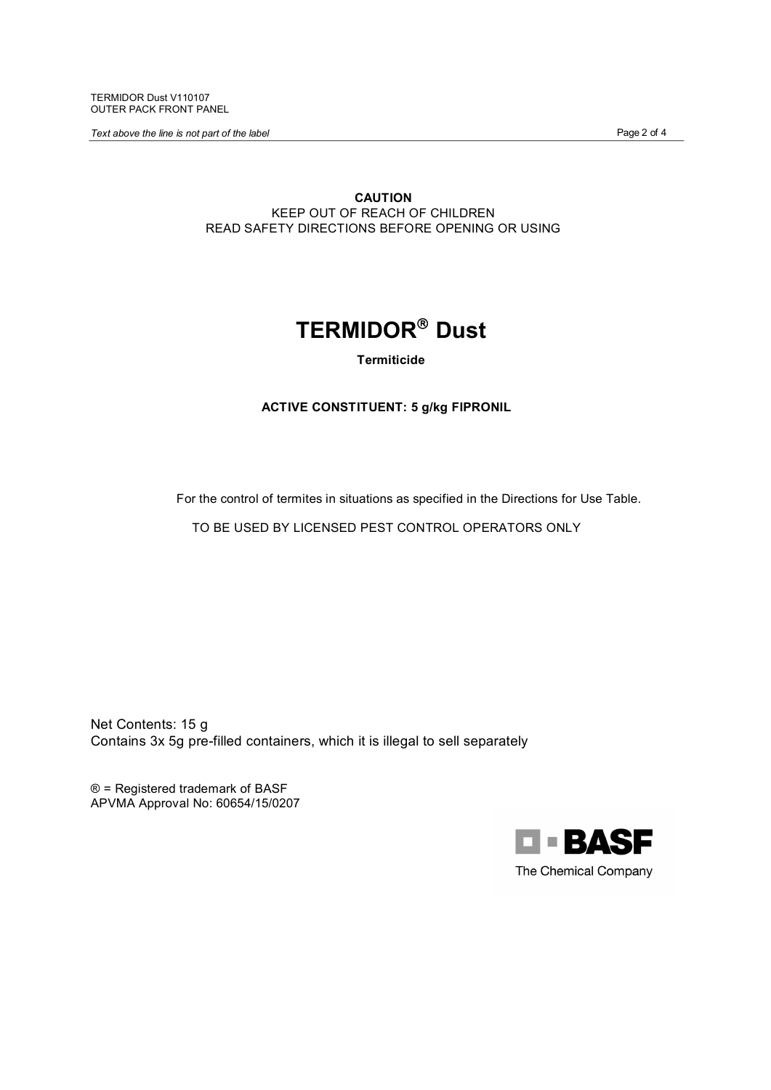TERMIDOR Dust V110107 OUTER PACK FRONT PANEL

**Text above the line is not part of the label Page 2 of 4** and **Page 2 of 4** and **Page 2 of 4** 

**CAUTION** KEEP OUT OF REACH OF CHILDREN READ SAFETY DIRECTIONS BEFORE OPENING OR USING

# **TERMIDOR®** Dust

**Termiticide** 

# **ACTIVE CONSTITUENT: 5 g/kg FIPRONIL**

For the control of termites in situations as specified in the Directions for Use Table.

TO BE USED BY LICENSED PEST CONTROL OPERATORS ONLY

Net Contents: 15 g Contains 3x 5g pre-filled containers, which it is illegal to sell separately

® = Registered trademark of BASF APVMA Approval No: 60654/15/0207

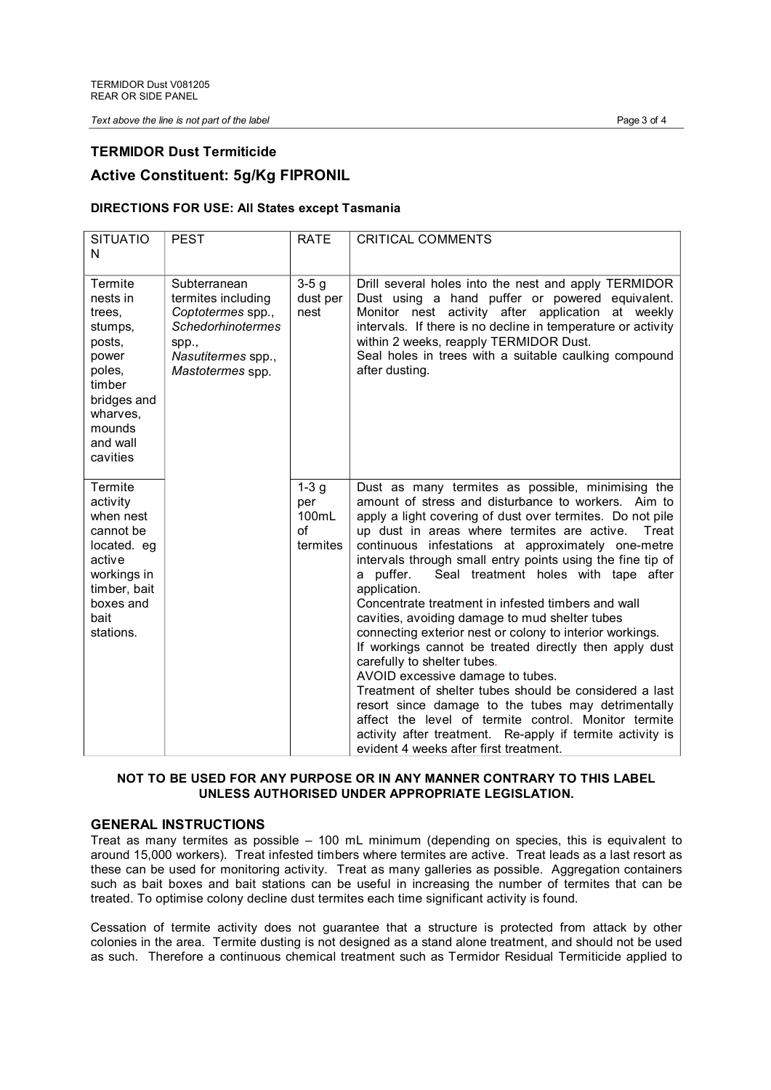*Text above the line is not part of the label* Page 3 of 4

# **TERMIDOR Dust Termiticide**

# **Active Constituent: 5g/Kg FIPRONIL**

# **DIRECTIONS FOR USE: All States except Tasmania**

| <b>SITUATIO</b><br>N                                                                                                                         | <b>PEST</b>                                                                                                                            | <b>RATE</b>                                    | <b>CRITICAL COMMENTS</b>                                                                                                                                                                                                                                                                                                                                                                                                                                                                                                                                                                                                                                                                                                                                                                                                                                                                                                                                                                               |
|----------------------------------------------------------------------------------------------------------------------------------------------|----------------------------------------------------------------------------------------------------------------------------------------|------------------------------------------------|--------------------------------------------------------------------------------------------------------------------------------------------------------------------------------------------------------------------------------------------------------------------------------------------------------------------------------------------------------------------------------------------------------------------------------------------------------------------------------------------------------------------------------------------------------------------------------------------------------------------------------------------------------------------------------------------------------------------------------------------------------------------------------------------------------------------------------------------------------------------------------------------------------------------------------------------------------------------------------------------------------|
| Termite<br>nests in<br>trees.<br>stumps,<br>posts,<br>power<br>poles,<br>timber<br>bridges and<br>wharves,<br>mounds<br>and wall<br>cavities | Subterranean<br>termites including<br>Coptotermes spp.,<br><b>Schedorhinotermes</b><br>spp.,<br>Nasutitermes spp.,<br>Mastotermes spp. | $3-5g$<br>dust per<br>nest                     | Drill several holes into the nest and apply TERMIDOR<br>Dust using a hand puffer or powered equivalent.<br>Monitor nest activity after application at weekly<br>intervals. If there is no decline in temperature or activity<br>within 2 weeks, reapply TERMIDOR Dust.<br>Seal holes in trees with a suitable caulking compound<br>after dusting.                                                                                                                                                                                                                                                                                                                                                                                                                                                                                                                                                                                                                                                      |
| Termite<br>activity<br>when nest<br>cannot be<br>located. eg<br>active<br>workings in<br>timber, bait<br>boxes and<br>bait<br>stations.      |                                                                                                                                        | $1-3g$<br>per<br>100mL<br>$\Omega$<br>termites | Dust as many termites as possible, minimising the<br>amount of stress and disturbance to workers. Aim to<br>apply a light covering of dust over termites. Do not pile<br>up dust in areas where termites are active.<br>Treat<br>continuous infestations at approximately one-metre<br>intervals through small entry points using the fine tip of<br>Seal treatment holes with tape after<br>a puffer.<br>application.<br>Concentrate treatment in infested timbers and wall<br>cavities, avoiding damage to mud shelter tubes<br>connecting exterior nest or colony to interior workings.<br>If workings cannot be treated directly then apply dust<br>carefully to shelter tubes.<br>AVOID excessive damage to tubes.<br>Treatment of shelter tubes should be considered a last<br>resort since damage to the tubes may detrimentally<br>affect the level of termite control. Monitor termite<br>activity after treatment. Re-apply if termite activity is<br>evident 4 weeks after first treatment. |

# **NOT TO BE USED FOR ANY PURPOSE OR IN ANY MANNER CONTRARY TO THIS LABEL UNLESS AUTHORISED UNDER APPROPRIATE LEGISLATION.**

# **GENERAL INSTRUCTIONS**

Treat as many termites as possible – 100 mL minimum (depending on species, this is equivalent to around 15,000 workers). Treat infested timbers where termites are active. Treat leads as a last resort as these can be used for monitoring activity. Treat as many galleries as possible. Aggregation containers such as bait boxes and bait stations can be useful in increasing the number of termites that can be treated. To optimise colony decline dust termites each time significant activity is found.

Cessation of termite activity does not guarantee that a structure is protected from attack by other colonies in the area. Termite dusting is not designed as a stand alone treatment, and should not be used as such. Therefore a continuous chemical treatment such as Termidor Residual Termiticide applied to